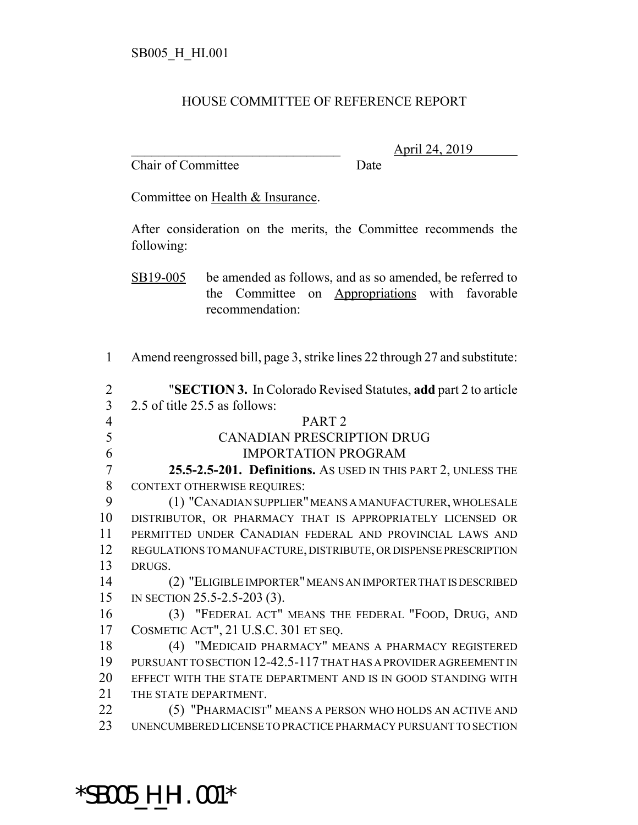## HOUSE COMMITTEE OF REFERENCE REPORT

Chair of Committee Date

\_\_\_\_\_\_\_\_\_\_\_\_\_\_\_\_\_\_\_\_\_\_\_\_\_\_\_\_\_\_\_ April 24, 2019

Committee on Health & Insurance.

After consideration on the merits, the Committee recommends the following:

SB19-005 be amended as follows, and as so amended, be referred to the Committee on Appropriations with favorable recommendation:

Amend reengrossed bill, page 3, strike lines 22 through 27 and substitute:

| 2              | "SECTION 3. In Colorado Revised Statutes, add part 2 to article  |
|----------------|------------------------------------------------------------------|
| 3              | 2.5 of title 25.5 as follows:                                    |
| $\overline{4}$ | PART <sub>2</sub>                                                |
| 5              | <b>CANADIAN PRESCRIPTION DRUG</b>                                |
| 6              | <b>IMPORTATION PROGRAM</b>                                       |
| 7              | 25.5-2.5-201. Definitions. AS USED IN THIS PART 2, UNLESS THE    |
| 8              | <b>CONTEXT OTHERWISE REQUIRES:</b>                               |
| 9              | (1) "CANADIAN SUPPLIER" MEANS A MANUFACTURER, WHOLESALE          |
| 10             | DISTRIBUTOR, OR PHARMACY THAT IS APPROPRIATELY LICENSED OR       |
| 11             | PERMITTED UNDER CANADIAN FEDERAL AND PROVINCIAL LAWS AND         |
| 12             | REGULATIONS TO MANUFACTURE, DISTRIBUTE, OR DISPENSE PRESCRIPTION |
| 13             | DRUGS.                                                           |
| 14             | (2) "ELIGIBLE IMPORTER" MEANS AN IMPORTER THAT IS DESCRIBED      |
| 15             | IN SECTION 25.5-2.5-203 (3).                                     |
| 16             | (3) "FEDERAL ACT" MEANS THE FEDERAL "FOOD, DRUG, AND             |
| 17             | COSMETIC ACT", 21 U.S.C. 301 ET SEQ.                             |
| 18             | (4) "MEDICAID PHARMACY" MEANS A PHARMACY REGISTERED              |
| 19             | PURSUANT TO SECTION 12-42.5-117 THAT HAS A PROVIDER AGREEMENT IN |
| 20             | EFFECT WITH THE STATE DEPARTMENT AND IS IN GOOD STANDING WITH    |
| 21             | THE STATE DEPARTMENT.                                            |
| 22             | (5) "PHARMACIST" MEANS A PERSON WHO HOLDS AN ACTIVE AND          |
| 23             | UNENCUMBERED LICENSE TO PRACTICE PHARMACY PURSUANT TO SECTION    |
|                |                                                                  |

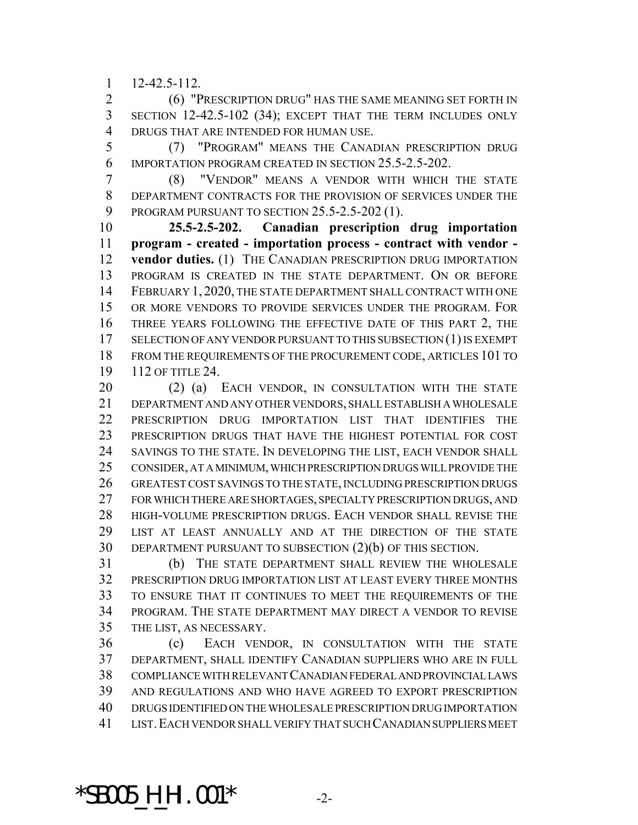$1 \quad 12 - 42.5 - 112$ 

 (6) "PRESCRIPTION DRUG" HAS THE SAME MEANING SET FORTH IN SECTION 12-42.5-102 (34); EXCEPT THAT THE TERM INCLUDES ONLY DRUGS THAT ARE INTENDED FOR HUMAN USE.

 (7) "PROGRAM" MEANS THE CANADIAN PRESCRIPTION DRUG IMPORTATION PROGRAM CREATED IN SECTION 25.5-2.5-202.

 (8) "VENDOR" MEANS A VENDOR WITH WHICH THE STATE DEPARTMENT CONTRACTS FOR THE PROVISION OF SERVICES UNDER THE PROGRAM PURSUANT TO SECTION 25.5-2.5-202 (1).

 **25.5-2.5-202. Canadian prescription drug importation program - created - importation process - contract with vendor - vendor duties.** (1) THE CANADIAN PRESCRIPTION DRUG IMPORTATION PROGRAM IS CREATED IN THE STATE DEPARTMENT. ON OR BEFORE FEBRUARY 1, 2020, THE STATE DEPARTMENT SHALL CONTRACT WITH ONE OR MORE VENDORS TO PROVIDE SERVICES UNDER THE PROGRAM. FOR THREE YEARS FOLLOWING THE EFFECTIVE DATE OF THIS PART 2, THE 17 SELECTION OF ANY VENDOR PURSUANT TO THIS SUBSECTION (1) IS EXEMPT FROM THE REQUIREMENTS OF THE PROCUREMENT CODE, ARTICLES 101 TO 112 OF TITLE 24.

20 (2) (a) EACH VENDOR, IN CONSULTATION WITH THE STATE DEPARTMENT AND ANY OTHER VENDORS, SHALL ESTABLISH A WHOLESALE 22 PRESCRIPTION DRUG IMPORTATION LIST THAT IDENTIFIES THE PRESCRIPTION DRUGS THAT HAVE THE HIGHEST POTENTIAL FOR COST SAVINGS TO THE STATE. IN DEVELOPING THE LIST, EACH VENDOR SHALL CONSIDER, AT A MINIMUM, WHICH PRESCRIPTION DRUGS WILL PROVIDE THE GREATEST COST SAVINGS TO THE STATE, INCLUDING PRESCRIPTION DRUGS FOR WHICH THERE ARE SHORTAGES, SPECIALTY PRESCRIPTION DRUGS, AND HIGH-VOLUME PRESCRIPTION DRUGS. EACH VENDOR SHALL REVISE THE LIST AT LEAST ANNUALLY AND AT THE DIRECTION OF THE STATE DEPARTMENT PURSUANT TO SUBSECTION (2)(b) OF THIS SECTION.

 (b) THE STATE DEPARTMENT SHALL REVIEW THE WHOLESALE PRESCRIPTION DRUG IMPORTATION LIST AT LEAST EVERY THREE MONTHS TO ENSURE THAT IT CONTINUES TO MEET THE REQUIREMENTS OF THE PROGRAM. THE STATE DEPARTMENT MAY DIRECT A VENDOR TO REVISE THE LIST, AS NECESSARY.

 (c) EACH VENDOR, IN CONSULTATION WITH THE STATE DEPARTMENT, SHALL IDENTIFY CANADIAN SUPPLIERS WHO ARE IN FULL COMPLIANCE WITH RELEVANT CANADIAN FEDERAL AND PROVINCIAL LAWS AND REGULATIONS AND WHO HAVE AGREED TO EXPORT PRESCRIPTION DRUGS IDENTIFIED ON THE WHOLESALE PRESCRIPTION DRUG IMPORTATION LIST.EACH VENDOR SHALL VERIFY THAT SUCH CANADIAN SUPPLIERS MEET

**\*SB005\_H\_HI.001\*** -2-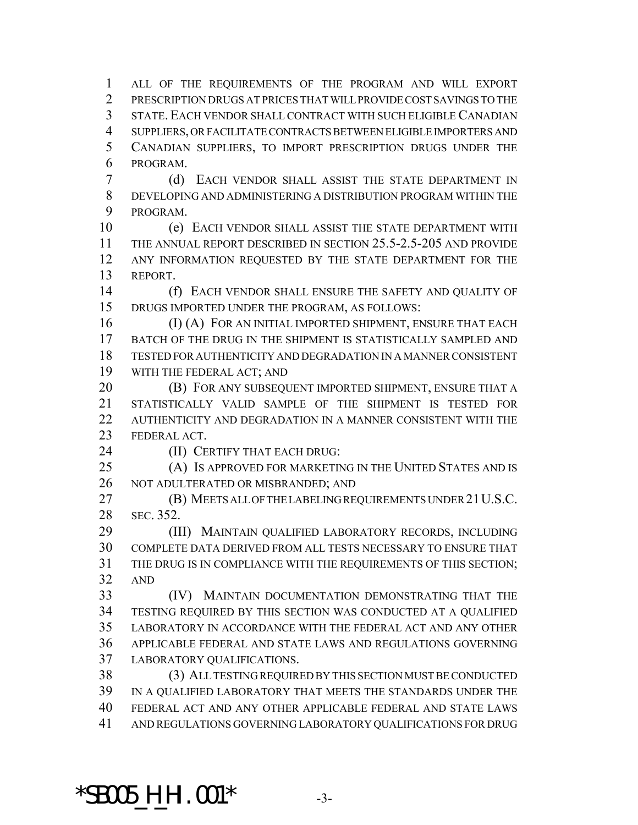ALL OF THE REQUIREMENTS OF THE PROGRAM AND WILL EXPORT PRESCRIPTION DRUGS AT PRICES THAT WILL PROVIDE COST SAVINGS TO THE STATE. EACH VENDOR SHALL CONTRACT WITH SUCH ELIGIBLE CANADIAN SUPPLIERS, OR FACILITATE CONTRACTS BETWEEN ELIGIBLE IMPORTERS AND CANADIAN SUPPLIERS, TO IMPORT PRESCRIPTION DRUGS UNDER THE PROGRAM.

 (d) EACH VENDOR SHALL ASSIST THE STATE DEPARTMENT IN DEVELOPING AND ADMINISTERING A DISTRIBUTION PROGRAM WITHIN THE PROGRAM.

 (e) EACH VENDOR SHALL ASSIST THE STATE DEPARTMENT WITH THE ANNUAL REPORT DESCRIBED IN SECTION 25.5-2.5-205 AND PROVIDE ANY INFORMATION REQUESTED BY THE STATE DEPARTMENT FOR THE REPORT.

 (f) EACH VENDOR SHALL ENSURE THE SAFETY AND QUALITY OF DRUGS IMPORTED UNDER THE PROGRAM, AS FOLLOWS:

16 (I) (A) FOR AN INITIAL IMPORTED SHIPMENT, ENSURE THAT EACH BATCH OF THE DRUG IN THE SHIPMENT IS STATISTICALLY SAMPLED AND TESTED FOR AUTHENTICITY AND DEGRADATION IN A MANNER CONSISTENT WITH THE FEDERAL ACT; AND

**(B) FOR ANY SUBSEQUENT IMPORTED SHIPMENT, ENSURE THAT A**  STATISTICALLY VALID SAMPLE OF THE SHIPMENT IS TESTED FOR AUTHENTICITY AND DEGRADATION IN A MANNER CONSISTENT WITH THE FEDERAL ACT.

**(II) CERTIFY THAT EACH DRUG:** 

 (A) IS APPROVED FOR MARKETING IN THE UNITED STATES AND IS NOT ADULTERATED OR MISBRANDED; AND

 (B) MEETS ALL OF THE LABELING REQUIREMENTS UNDER 21U.S.C. SEC. 352.

 (III) MAINTAIN QUALIFIED LABORATORY RECORDS, INCLUDING COMPLETE DATA DERIVED FROM ALL TESTS NECESSARY TO ENSURE THAT THE DRUG IS IN COMPLIANCE WITH THE REQUIREMENTS OF THIS SECTION; AND

 (IV) MAINTAIN DOCUMENTATION DEMONSTRATING THAT THE TESTING REQUIRED BY THIS SECTION WAS CONDUCTED AT A QUALIFIED LABORATORY IN ACCORDANCE WITH THE FEDERAL ACT AND ANY OTHER APPLICABLE FEDERAL AND STATE LAWS AND REGULATIONS GOVERNING LABORATORY QUALIFICATIONS.

 (3) ALL TESTING REQUIRED BY THIS SECTION MUST BE CONDUCTED IN A QUALIFIED LABORATORY THAT MEETS THE STANDARDS UNDER THE FEDERAL ACT AND ANY OTHER APPLICABLE FEDERAL AND STATE LAWS AND REGULATIONS GOVERNING LABORATORY QUALIFICATIONS FOR DRUG

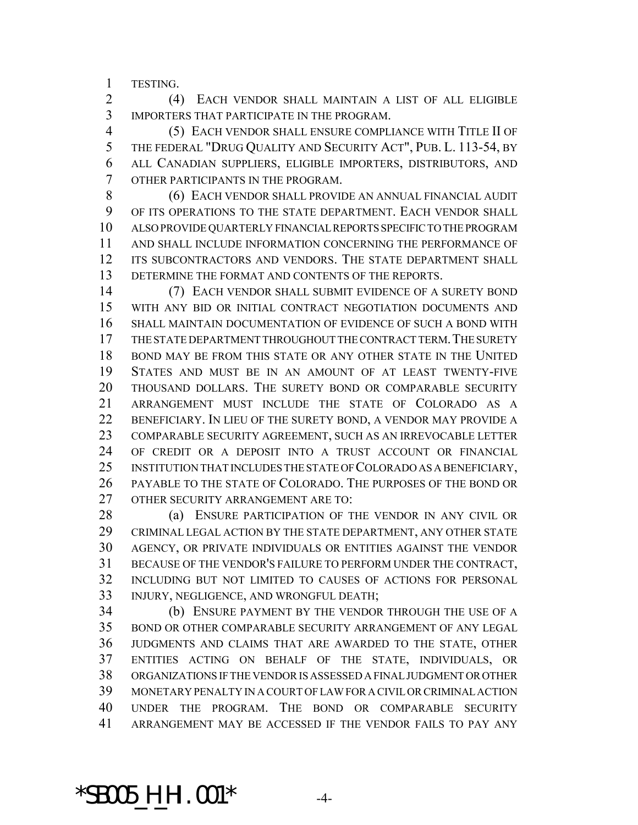TESTING.

 (4) EACH VENDOR SHALL MAINTAIN A LIST OF ALL ELIGIBLE IMPORTERS THAT PARTICIPATE IN THE PROGRAM.

 (5) EACH VENDOR SHALL ENSURE COMPLIANCE WITH TITLE II OF THE FEDERAL "DRUG QUALITY AND SECURITY ACT", PUB. L. 113-54, BY ALL CANADIAN SUPPLIERS, ELIGIBLE IMPORTERS, DISTRIBUTORS, AND OTHER PARTICIPANTS IN THE PROGRAM.

 (6) EACH VENDOR SHALL PROVIDE AN ANNUAL FINANCIAL AUDIT OF ITS OPERATIONS TO THE STATE DEPARTMENT. EACH VENDOR SHALL ALSO PROVIDE QUARTERLY FINANCIAL REPORTS SPECIFIC TO THE PROGRAM AND SHALL INCLUDE INFORMATION CONCERNING THE PERFORMANCE OF 12 ITS SUBCONTRACTORS AND VENDORS. THE STATE DEPARTMENT SHALL DETERMINE THE FORMAT AND CONTENTS OF THE REPORTS.

 (7) EACH VENDOR SHALL SUBMIT EVIDENCE OF A SURETY BOND WITH ANY BID OR INITIAL CONTRACT NEGOTIATION DOCUMENTS AND SHALL MAINTAIN DOCUMENTATION OF EVIDENCE OF SUCH A BOND WITH 17 THE STATE DEPARTMENT THROUGHOUT THE CONTRACT TERM. THE SURETY BOND MAY BE FROM THIS STATE OR ANY OTHER STATE IN THE UNITED STATES AND MUST BE IN AN AMOUNT OF AT LEAST TWENTY-FIVE THOUSAND DOLLARS. THE SURETY BOND OR COMPARABLE SECURITY ARRANGEMENT MUST INCLUDE THE STATE OF COLORADO AS A BENEFICIARY. IN LIEU OF THE SURETY BOND, A VENDOR MAY PROVIDE A COMPARABLE SECURITY AGREEMENT, SUCH AS AN IRREVOCABLE LETTER OF CREDIT OR A DEPOSIT INTO A TRUST ACCOUNT OR FINANCIAL INSTITUTION THAT INCLUDES THE STATE OF COLORADO AS A BENEFICIARY, PAYABLE TO THE STATE OF COLORADO. THE PURPOSES OF THE BOND OR OTHER SECURITY ARRANGEMENT ARE TO:

28 (a) ENSURE PARTICIPATION OF THE VENDOR IN ANY CIVIL OR CRIMINAL LEGAL ACTION BY THE STATE DEPARTMENT, ANY OTHER STATE AGENCY, OR PRIVATE INDIVIDUALS OR ENTITIES AGAINST THE VENDOR BECAUSE OF THE VENDOR'S FAILURE TO PERFORM UNDER THE CONTRACT, INCLUDING BUT NOT LIMITED TO CAUSES OF ACTIONS FOR PERSONAL INJURY, NEGLIGENCE, AND WRONGFUL DEATH;

 (b) ENSURE PAYMENT BY THE VENDOR THROUGH THE USE OF A BOND OR OTHER COMPARABLE SECURITY ARRANGEMENT OF ANY LEGAL JUDGMENTS AND CLAIMS THAT ARE AWARDED TO THE STATE, OTHER ENTITIES ACTING ON BEHALF OF THE STATE, INDIVIDUALS, OR ORGANIZATIONS IF THE VENDOR IS ASSESSED A FINAL JUDGMENT OR OTHER MONETARY PENALTY IN A COURT OF LAW FOR A CIVIL OR CRIMINAL ACTION UNDER THE PROGRAM. THE BOND OR COMPARABLE SECURITY ARRANGEMENT MAY BE ACCESSED IF THE VENDOR FAILS TO PAY ANY

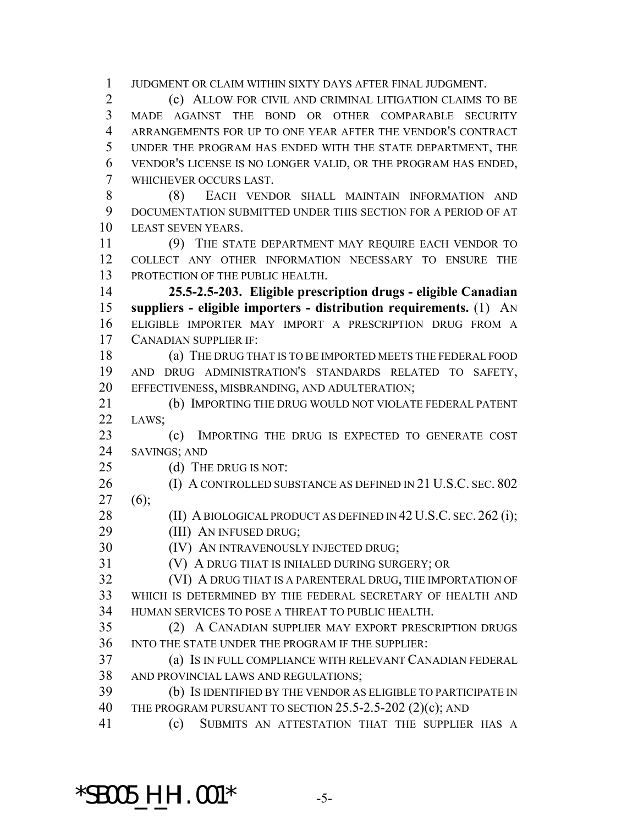JUDGMENT OR CLAIM WITHIN SIXTY DAYS AFTER FINAL JUDGMENT.

 (c) ALLOW FOR CIVIL AND CRIMINAL LITIGATION CLAIMS TO BE MADE AGAINST THE BOND OR OTHER COMPARABLE SECURITY ARRANGEMENTS FOR UP TO ONE YEAR AFTER THE VENDOR'S CONTRACT UNDER THE PROGRAM HAS ENDED WITH THE STATE DEPARTMENT, THE VENDOR'S LICENSE IS NO LONGER VALID, OR THE PROGRAM HAS ENDED, WHICHEVER OCCURS LAST.

 (8) EACH VENDOR SHALL MAINTAIN INFORMATION AND DOCUMENTATION SUBMITTED UNDER THIS SECTION FOR A PERIOD OF AT LEAST SEVEN YEARS.

 (9) THE STATE DEPARTMENT MAY REQUIRE EACH VENDOR TO COLLECT ANY OTHER INFORMATION NECESSARY TO ENSURE THE 13 PROTECTION OF THE PUBLIC HEALTH.

 **25.5-2.5-203. Eligible prescription drugs - eligible Canadian suppliers - eligible importers - distribution requirements.** (1) AN ELIGIBLE IMPORTER MAY IMPORT A PRESCRIPTION DRUG FROM A CANADIAN SUPPLIER IF:

 (a) THE DRUG THAT IS TO BE IMPORTED MEETS THE FEDERAL FOOD AND DRUG ADMINISTRATION'S STANDARDS RELATED TO SAFETY, EFFECTIVENESS, MISBRANDING, AND ADULTERATION;

 (b) IMPORTING THE DRUG WOULD NOT VIOLATE FEDERAL PATENT LAWS;

 (c) IMPORTING THE DRUG IS EXPECTED TO GENERATE COST SAVINGS; AND

25 (d) THE DRUG IS NOT:

26 (I) A CONTROLLED SUBSTANCE AS DEFINED IN 21 U.S.C. SEC. 802  $27 (6)$ ;

28 (II) A BIOLOGICAL PRODUCT AS DEFINED IN 42 U.S.C. SEC. 262 (i);

**(III) AN INFUSED DRUG;** 

(IV) AN INTRAVENOUSLY INJECTED DRUG;

(V) A DRUG THAT IS INHALED DURING SURGERY; OR

 (VI) A DRUG THAT IS A PARENTERAL DRUG, THE IMPORTATION OF WHICH IS DETERMINED BY THE FEDERAL SECRETARY OF HEALTH AND HUMAN SERVICES TO POSE A THREAT TO PUBLIC HEALTH.

 (2) A CANADIAN SUPPLIER MAY EXPORT PRESCRIPTION DRUGS INTO THE STATE UNDER THE PROGRAM IF THE SUPPLIER:

 (a) IS IN FULL COMPLIANCE WITH RELEVANT CANADIAN FEDERAL AND PROVINCIAL LAWS AND REGULATIONS;

 (b) IS IDENTIFIED BY THE VENDOR AS ELIGIBLE TO PARTICIPATE IN 40 THE PROGRAM PURSUANT TO SECTION 25.5-2.5-202 (2)(c); AND

(c) SUBMITS AN ATTESTATION THAT THE SUPPLIER HAS A

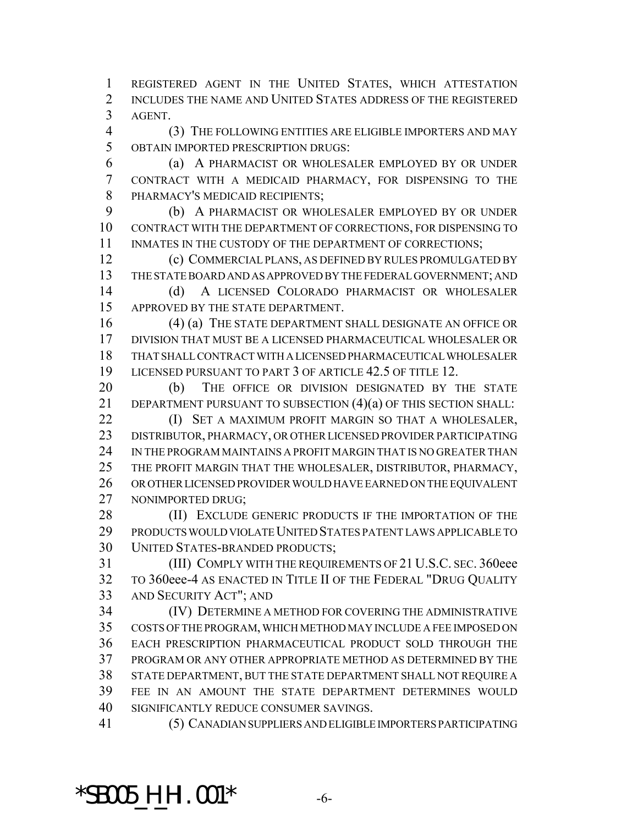REGISTERED AGENT IN THE UNITED STATES, WHICH ATTESTATION INCLUDES THE NAME AND UNITED STATES ADDRESS OF THE REGISTERED AGENT.

 (3) THE FOLLOWING ENTITIES ARE ELIGIBLE IMPORTERS AND MAY OBTAIN IMPORTED PRESCRIPTION DRUGS:

 (a) A PHARMACIST OR WHOLESALER EMPLOYED BY OR UNDER CONTRACT WITH A MEDICAID PHARMACY, FOR DISPENSING TO THE PHARMACY'S MEDICAID RECIPIENTS;

 (b) A PHARMACIST OR WHOLESALER EMPLOYED BY OR UNDER CONTRACT WITH THE DEPARTMENT OF CORRECTIONS, FOR DISPENSING TO 11 INMATES IN THE CUSTODY OF THE DEPARTMENT OF CORRECTIONS;

 (c) COMMERCIAL PLANS, AS DEFINED BY RULES PROMULGATED BY THE STATE BOARD AND AS APPROVED BY THE FEDERAL GOVERNMENT; AND (d) A LICENSED COLORADO PHARMACIST OR WHOLESALER APPROVED BY THE STATE DEPARTMENT.

 (4) (a) THE STATE DEPARTMENT SHALL DESIGNATE AN OFFICE OR DIVISION THAT MUST BE A LICENSED PHARMACEUTICAL WHOLESALER OR THAT SHALL CONTRACT WITH A LICENSED PHARMACEUTICAL WHOLESALER LICENSED PURSUANT TO PART 3 OF ARTICLE 42.5 OF TITLE 12.

 (b) THE OFFICE OR DIVISION DESIGNATED BY THE STATE DEPARTMENT PURSUANT TO SUBSECTION (4)(a) OF THIS SECTION SHALL:

**(I) SET A MAXIMUM PROFIT MARGIN SO THAT A WHOLESALER,**  DISTRIBUTOR, PHARMACY, OR OTHER LICENSED PROVIDER PARTICIPATING IN THE PROGRAM MAINTAINS A PROFIT MARGIN THAT IS NO GREATER THAN THE PROFIT MARGIN THAT THE WHOLESALER, DISTRIBUTOR, PHARMACY, OR OTHER LICENSED PROVIDER WOULD HAVE EARNED ON THE EQUIVALENT NONIMPORTED DRUG;

28 (II) EXCLUDE GENERIC PRODUCTS IF THE IMPORTATION OF THE PRODUCTS WOULD VIOLATE UNITED STATES PATENT LAWS APPLICABLE TO UNITED STATES-BRANDED PRODUCTS;

 (III) COMPLY WITH THE REQUIREMENTS OF 21 U.S.C. SEC. 360eee TO 360eee-4 AS ENACTED IN TITLE II OF THE FEDERAL "DRUG QUALITY AND SECURITY ACT"; AND

 (IV) DETERMINE A METHOD FOR COVERING THE ADMINISTRATIVE COSTS OF THE PROGRAM, WHICH METHOD MAY INCLUDE A FEE IMPOSED ON EACH PRESCRIPTION PHARMACEUTICAL PRODUCT SOLD THROUGH THE PROGRAM OR ANY OTHER APPROPRIATE METHOD AS DETERMINED BY THE STATE DEPARTMENT, BUT THE STATE DEPARTMENT SHALL NOT REQUIRE A FEE IN AN AMOUNT THE STATE DEPARTMENT DETERMINES WOULD SIGNIFICANTLY REDUCE CONSUMER SAVINGS.

(5) CANADIAN SUPPLIERS AND ELIGIBLE IMPORTERS PARTICIPATING

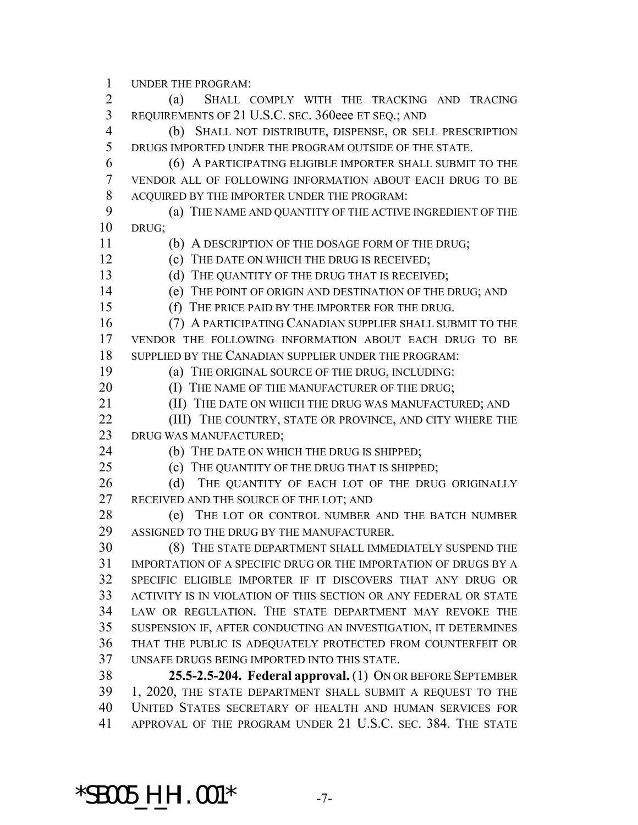UNDER THE PROGRAM:

 (a) SHALL COMPLY WITH THE TRACKING AND TRACING REQUIREMENTS OF 21 U.S.C. SEC. 360eee ET SEQ.; AND (b) SHALL NOT DISTRIBUTE, DISPENSE, OR SELL PRESCRIPTION DRUGS IMPORTED UNDER THE PROGRAM OUTSIDE OF THE STATE. (6) A PARTICIPATING ELIGIBLE IMPORTER SHALL SUBMIT TO THE VENDOR ALL OF FOLLOWING INFORMATION ABOUT EACH DRUG TO BE ACQUIRED BY THE IMPORTER UNDER THE PROGRAM: (a) THE NAME AND QUANTITY OF THE ACTIVE INGREDIENT OF THE DRUG; (b) A DESCRIPTION OF THE DOSAGE FORM OF THE DRUG; (c) THE DATE ON WHICH THE DRUG IS RECEIVED; 13 (d) THE QUANTITY OF THE DRUG THAT IS RECEIVED; (e) THE POINT OF ORIGIN AND DESTINATION OF THE DRUG; AND (f) THE PRICE PAID BY THE IMPORTER FOR THE DRUG. (7) A PARTICIPATING CANADIAN SUPPLIER SHALL SUBMIT TO THE VENDOR THE FOLLOWING INFORMATION ABOUT EACH DRUG TO BE SUPPLIED BY THE CANADIAN SUPPLIER UNDER THE PROGRAM: (a) THE ORIGINAL SOURCE OF THE DRUG, INCLUDING: **(I) THE NAME OF THE MANUFACTURER OF THE DRUG;** 21 (II) THE DATE ON WHICH THE DRUG WAS MANUFACTURED; AND **(III)** THE COUNTRY, STATE OR PROVINCE, AND CITY WHERE THE DRUG WAS MANUFACTURED; (b) THE DATE ON WHICH THE DRUG IS SHIPPED; (c) THE QUANTITY OF THE DRUG THAT IS SHIPPED; 26 (d) THE QUANTITY OF EACH LOT OF THE DRUG ORIGINALLY 27 RECEIVED AND THE SOURCE OF THE LOT; AND (e) THE LOT OR CONTROL NUMBER AND THE BATCH NUMBER ASSIGNED TO THE DRUG BY THE MANUFACTURER. (8) THE STATE DEPARTMENT SHALL IMMEDIATELY SUSPEND THE IMPORTATION OF A SPECIFIC DRUG OR THE IMPORTATION OF DRUGS BY A SPECIFIC ELIGIBLE IMPORTER IF IT DISCOVERS THAT ANY DRUG OR ACTIVITY IS IN VIOLATION OF THIS SECTION OR ANY FEDERAL OR STATE LAW OR REGULATION. THE STATE DEPARTMENT MAY REVOKE THE SUSPENSION IF, AFTER CONDUCTING AN INVESTIGATION, IT DETERMINES THAT THE PUBLIC IS ADEQUATELY PROTECTED FROM COUNTERFEIT OR UNSAFE DRUGS BEING IMPORTED INTO THIS STATE. **25.5-2.5-204. Federal approval.** (1) ON OR BEFORE SEPTEMBER 1, 2020, THE STATE DEPARTMENT SHALL SUBMIT A REQUEST TO THE UNITED STATES SECRETARY OF HEALTH AND HUMAN SERVICES FOR APPROVAL OF THE PROGRAM UNDER 21 U.S.C. SEC. 384. THE STATE

**\*SB005\_H\_HI.001\*** -7-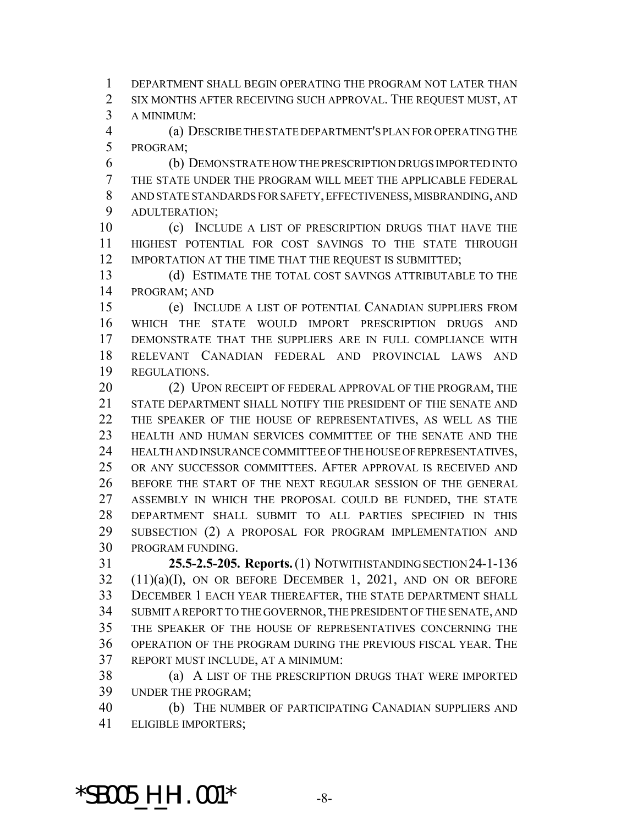DEPARTMENT SHALL BEGIN OPERATING THE PROGRAM NOT LATER THAN SIX MONTHS AFTER RECEIVING SUCH APPROVAL. THE REQUEST MUST, AT A MINIMUM:

 (a) DESCRIBE THE STATE DEPARTMENT'S PLAN FOR OPERATING THE PROGRAM;

 (b) DEMONSTRATE HOW THE PRESCRIPTION DRUGS IMPORTED INTO THE STATE UNDER THE PROGRAM WILL MEET THE APPLICABLE FEDERAL AND STATE STANDARDS FOR SAFETY, EFFECTIVENESS, MISBRANDING, AND ADULTERATION;

 (c) INCLUDE A LIST OF PRESCRIPTION DRUGS THAT HAVE THE HIGHEST POTENTIAL FOR COST SAVINGS TO THE STATE THROUGH 12 IMPORTATION AT THE TIME THAT THE REQUEST IS SUBMITTED;

 (d) ESTIMATE THE TOTAL COST SAVINGS ATTRIBUTABLE TO THE PROGRAM; AND

 (e) INCLUDE A LIST OF POTENTIAL CANADIAN SUPPLIERS FROM WHICH THE STATE WOULD IMPORT PRESCRIPTION DRUGS AND DEMONSTRATE THAT THE SUPPLIERS ARE IN FULL COMPLIANCE WITH RELEVANT CANADIAN FEDERAL AND PROVINCIAL LAWS AND REGULATIONS.

20 (2) UPON RECEIPT OF FEDERAL APPROVAL OF THE PROGRAM, THE STATE DEPARTMENT SHALL NOTIFY THE PRESIDENT OF THE SENATE AND THE SPEAKER OF THE HOUSE OF REPRESENTATIVES, AS WELL AS THE HEALTH AND HUMAN SERVICES COMMITTEE OF THE SENATE AND THE HEALTH AND INSURANCE COMMITTEE OF THE HOUSE OF REPRESENTATIVES, OR ANY SUCCESSOR COMMITTEES. AFTER APPROVAL IS RECEIVED AND BEFORE THE START OF THE NEXT REGULAR SESSION OF THE GENERAL ASSEMBLY IN WHICH THE PROPOSAL COULD BE FUNDED, THE STATE DEPARTMENT SHALL SUBMIT TO ALL PARTIES SPECIFIED IN THIS SUBSECTION (2) A PROPOSAL FOR PROGRAM IMPLEMENTATION AND PROGRAM FUNDING.

 **25.5-2.5-205. Reports.** (1) NOTWITHSTANDING SECTION 24-1-136  $(11)(a)(I)$ , ON OR BEFORE DECEMBER 1, 2021, AND ON OR BEFORE DECEMBER 1 EACH YEAR THEREAFTER, THE STATE DEPARTMENT SHALL SUBMIT A REPORT TO THE GOVERNOR, THE PRESIDENT OF THE SENATE, AND THE SPEAKER OF THE HOUSE OF REPRESENTATIVES CONCERNING THE OPERATION OF THE PROGRAM DURING THE PREVIOUS FISCAL YEAR. THE REPORT MUST INCLUDE, AT A MINIMUM:

 (a) A LIST OF THE PRESCRIPTION DRUGS THAT WERE IMPORTED UNDER THE PROGRAM;

 (b) THE NUMBER OF PARTICIPATING CANADIAN SUPPLIERS AND ELIGIBLE IMPORTERS;

\*SB005\_H\_HI.001\* -8-